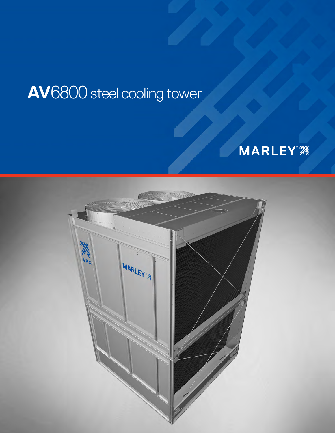# **AV**6800 steel cooling tower



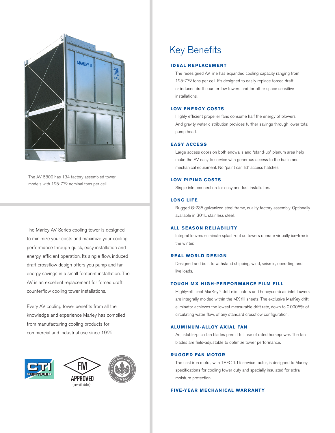

The AV 6800 has 134 factory assembled tower models with 125-772 nominal tons per cell.

The Marley AV Series cooling tower is designed to minimize your costs and maximize your cooling performance through quick, easy installation and energy-efficient operation. Its single flow, induced draft crossflow design offers you pump and fan energy savings in a small footprint installation. The AV is an excellent replacement for forced draft counterflow cooling tower installations.

Every AV cooling tower benefits from all the knowledge and experience Marley has compiled from manufacturing cooling products for commercial and industrial use since 1922.







Key Benefits

#### **IDEAL REPLACEMENT**

The redesigned AV line has expanded cooling capacity ranging from 125-772 tons per cell. It's designed to easily replace forced draft or induced draft counterflow towers and for other space sensitive installations.

# **LOW ENERGY COSTS**

 Highly efficient propeller fans consume half the energy of blowers. And gravity water distribution provides further savings through lower total pump head.

# **EASY ACCESS**

 Large access doors on both endwalls and "stand-up" plenum area help make the AV easy to service with generous access to the basin and mechanical equipment. No "paint can lid" access hatches.

## **LOW PIPING COSTS**

Single inlet connection for easy and fast installation.

# **LONG LIFE**

 Rugged G-235 galvanized steel frame, quality factory assembly. Optionally available in 301L stainless steel.

#### **ALL SEASON RELIABILITY**

 Integral louvers eliminate splash-out so towers operate virtually ice-free in the winter.

# **REAL WORLD DESIGN**

 Designed and built to withstand shipping, wind, seismic, operating and live loads.

# **TOUGH MX HIGH-PERFORMANCE FILM FILL**

 Highly-efficient MarKey™ drift eliminators and honeycomb air inlet louvers are integrally molded within the MX fill sheets. The exclusive MarKey drift eliminator achieves the lowest measurable drift rate, down to 0.0005% of circulating water flow, of any standard crossflow configuration.

#### **ALUMINUM-ALLOY AXIAL FAN**

 Adjustable-pitch fan blades permit full use of rated horsepower. The fan blades are field-adjustable to optimize tower performance.

#### **RUGGED FAN MOTOR**

 The cast iron motor, with TEFC 1.15 service factor, is designed to Marley specifications for cooling tower duty and specially insulated for extra moisture protection.

#### **FIVE-YEAR MECHANICAL WARRANTY**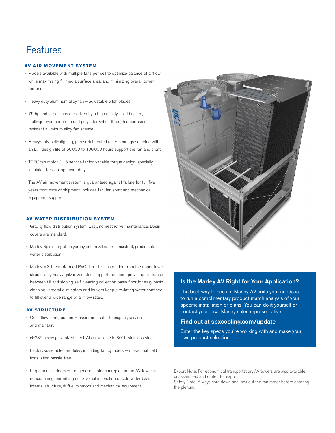# Features

#### **AV AIR MOVEMENT SYSTEM**

- Models available with multiple fans per cell to optimize balance of airflow while maximizing fill media surface area, and minimizing overall tower footprint.
- Heavy duty aluminum alloy fan adjustable pitch blades.
- 7.5 hp and larger fans are driven by a high quality, solid backed, multi-grooved neoprene and polyester V-belt through a corrosion resistant aluminum alloy fan sheave.
- Heavy-duty, self-aligning, grease-lubricated roller bearings selected with an  $L_{10}$  design life of 50,000 to 100,000 hours support the fan and shaft.
- TEFC fan motor, 1.15 service factor, variable torque design, specially insulated for cooling tower duty.
- The AV air movement system is guaranteed against failure for full five years from date of shipment. Includes fan, fan shaft and mechanical equipment support.

#### **AV WATER DISTRIBUTION SYSTEM**

- Gravity flow distribution system. Easy, nonrestrictive maintenance. Basin covers are standard.
- Marley Spiral Target polypropylene nozzles for consistent, predictable water distribution.
- Marley MX thermoformed PVC film fill is suspended from the upper tower structure by heavy galvanized steel support members providing clearance between fill and sloping self-cleaning collection basin floor for easy basin cleaning. Integral eliminators and louvers keep circulating water confined to fill over a wide range of air flow rates.

#### **AV STRUCTURE**

- Crossflow configuration easier and safer to inspect, service and maintain.
- G-235 heavy galvanized steel. Also available in 301L stainless steel.
- Factory-assembled modules, including fan cylinders make final field installation hassle-free.
- Large access doors the generous plenum region in the AV tower is nonconfining, permitting quick visual inspection of cold water basin, internal structure, drift eliminators and mechanical equipment.



# Is the Marley AV Right for Your Application?

The best way to see if a Marley AV suits your needs is to run a complimentary product match analysis of your specific installation or plans. You can do it yourself or contact your local Marley sales representative.

# Find out at spxcooling.com/update

Enter the key specs you're working with and make your own product selection.

Export Note: For economical transportation, AV towers are also available unassembled and crated for export.

Safety Note: Always shut down and lock out the fan motor before entering the plenum.